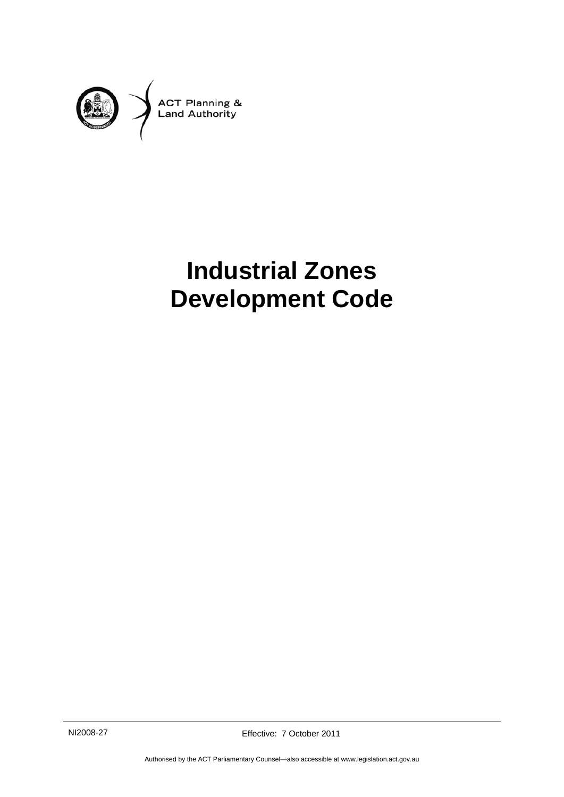

# **Industrial Zones Development Code**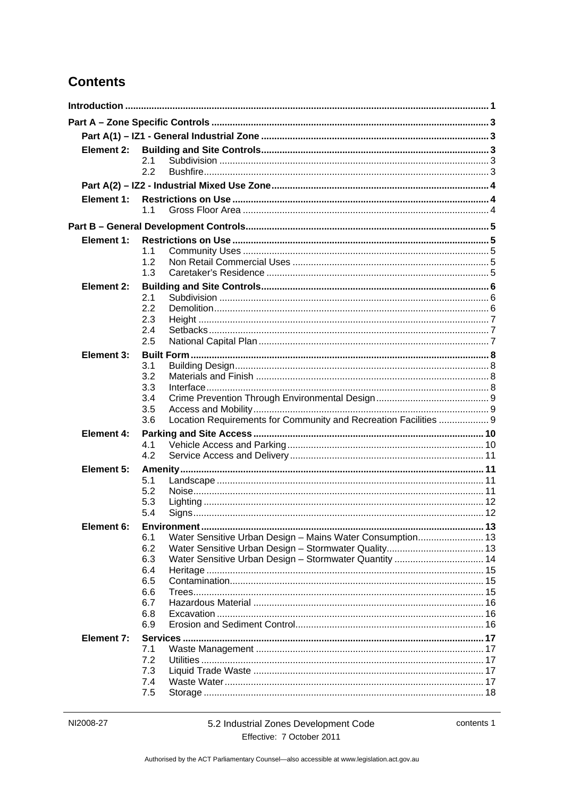# **Contents**

| Element 2:        |                                                                         |  |
|-------------------|-------------------------------------------------------------------------|--|
|                   | 2.1<br>2.2                                                              |  |
|                   |                                                                         |  |
| Element 1:        |                                                                         |  |
|                   | 1.1                                                                     |  |
|                   |                                                                         |  |
| Element 1:        |                                                                         |  |
|                   | 1.1                                                                     |  |
|                   | 1.2                                                                     |  |
|                   | 1.3                                                                     |  |
| Element 2:        |                                                                         |  |
|                   | 2.1<br>2.2                                                              |  |
|                   | 2.3                                                                     |  |
|                   | 2.4                                                                     |  |
|                   | 2.5                                                                     |  |
| Element 3:        |                                                                         |  |
|                   | 3.1                                                                     |  |
|                   | 3.2                                                                     |  |
|                   | 3.3<br>3.4                                                              |  |
|                   | 3.5                                                                     |  |
|                   | Location Requirements for Community and Recreation Facilities  9<br>3.6 |  |
| <b>Element 4:</b> |                                                                         |  |
|                   | 4.1                                                                     |  |
|                   | 4.2                                                                     |  |
| Element 5:        |                                                                         |  |
|                   | 5.1<br>5.2                                                              |  |
|                   | 5.3                                                                     |  |
|                   | 5.4                                                                     |  |
| Element 6:        | Environ                                                                 |  |
|                   | 6.1<br>Water Sensitive Urban Design - Mains Water Consumption 13        |  |
|                   | 6.2                                                                     |  |
|                   | Water Sensitive Urban Design - Stormwater Quantity  14<br>6.3           |  |
|                   | 6.4<br>6.5                                                              |  |
|                   | 6.6                                                                     |  |
|                   | 6.7                                                                     |  |
|                   | 6.8                                                                     |  |
|                   | 6.9                                                                     |  |
| Element 7:        |                                                                         |  |
|                   | 7.1                                                                     |  |
|                   | 7.2<br>7.3                                                              |  |
|                   | 7.4                                                                     |  |
|                   | 7.5                                                                     |  |
|                   |                                                                         |  |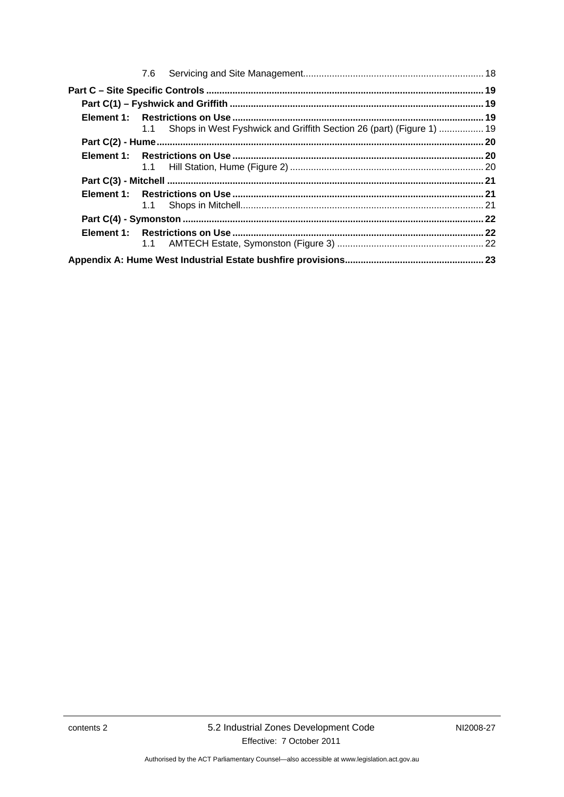|  | 1.1 Shops in West Fyshwick and Griffith Section 26 (part) (Figure 1)  19 |  |
|--|--------------------------------------------------------------------------|--|
|  |                                                                          |  |
|  |                                                                          |  |
|  |                                                                          |  |
|  |                                                                          |  |
|  |                                                                          |  |
|  |                                                                          |  |
|  |                                                                          |  |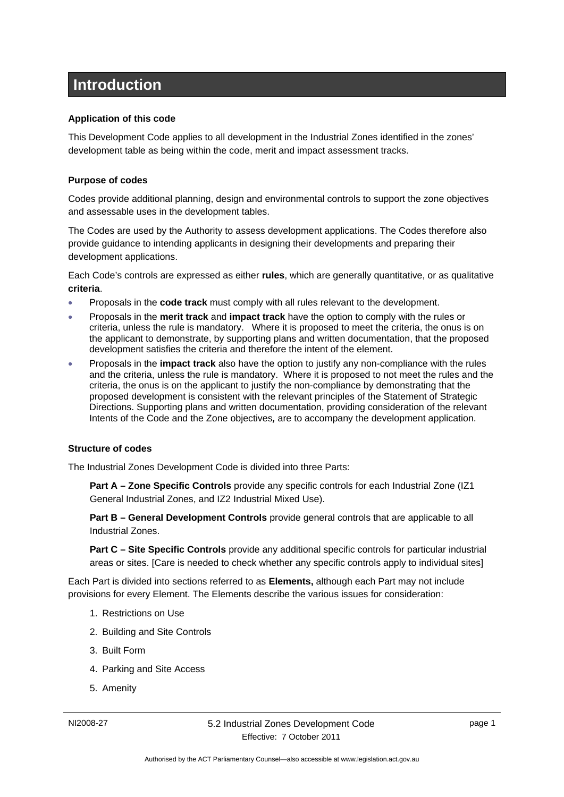# <span id="page-4-0"></span>**Introduction**

#### **Application of this code**

This Development Code applies to all development in the Industrial Zones identified in the zones' development table as being within the code, merit and impact assessment tracks.

#### **Purpose of codes**

Codes provide additional planning, design and environmental controls to support the zone objectives and assessable uses in the development tables.

The Codes are used by the Authority to assess development applications. The Codes therefore also provide guidance to intending applicants in designing their developments and preparing their development applications.

Each Code's controls are expressed as either **rules**, which are generally quantitative, or as qualitative **criteria**.

- Proposals in the **code track** must comply with all rules relevant to the development.
- Proposals in the **merit track** and **impact track** have the option to comply with the rules or criteria, unless the rule is mandatory. Where it is proposed to meet the criteria, the onus is on the applicant to demonstrate, by supporting plans and written documentation, that the proposed development satisfies the criteria and therefore the intent of the element.
- Proposals in the **impact track** also have the option to justify any non-compliance with the rules and the criteria, unless the rule is mandatory. Where it is proposed to not meet the rules and the criteria, the onus is on the applicant to justify the non-compliance by demonstrating that the proposed development is consistent with the relevant principles of the Statement of Strategic Directions. Supporting plans and written documentation, providing consideration of the relevant Intents of the Code and the Zone objectives*,* are to accompany the development application.

#### **Structure of codes**

The Industrial Zones Development Code is divided into three Parts:

**Part A – Zone Specific Controls** provide any specific controls for each Industrial Zone (IZ1 General Industrial Zones, and IZ2 Industrial Mixed Use).

**Part B – General Development Controls** provide general controls that are applicable to all Industrial Zones.

**Part C – Site Specific Controls** provide any additional specific controls for particular industrial areas or sites. [Care is needed to check whether any specific controls apply to individual sites]

Each Part is divided into sections referred to as **Elements,** although each Part may not include provisions for every Element. The Elements describe the various issues for consideration:

- 1. Restrictions on Use
- 2. Building and Site Controls
- 3. Built Form
- 4. Parking and Site Access
- 5. Amenity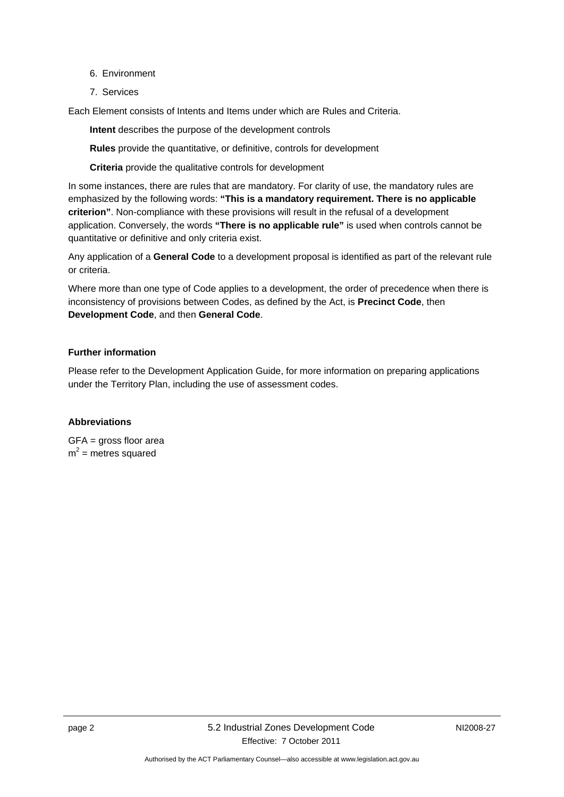- 6. Environment
- 7. Services

Each Element consists of Intents and Items under which are Rules and Criteria.

**Intent** describes the purpose of the development controls

**Rules** provide the quantitative, or definitive, controls for development

**Criteria** provide the qualitative controls for development

In some instances, there are rules that are mandatory. For clarity of use, the mandatory rules are emphasized by the following words: **"This is a mandatory requirement. There is no applicable criterion"**. Non-compliance with these provisions will result in the refusal of a development application. Conversely, the words **"There is no applicable rule"** is used when controls cannot be quantitative or definitive and only criteria exist.

Any application of a **General Code** to a development proposal is identified as part of the relevant rule or criteria.

Where more than one type of Code applies to a development, the order of precedence when there is inconsistency of provisions between Codes, as defined by the Act, is **Precinct Code**, then **Development Code**, and then **General Code**.

#### **Further information**

Please refer to the Development Application Guide, for more information on preparing applications under the Territory Plan, including the use of assessment codes.

#### **Abbreviations**

GFA = gross floor area  $m^2$  = metres squared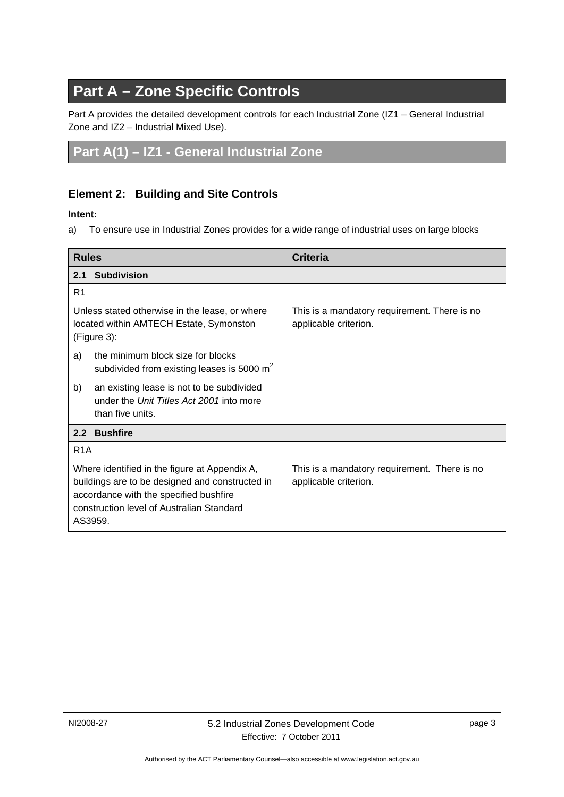# **Part A – Zone Specific Controls**

<span id="page-6-0"></span>Part A provides the detailed development controls for each Industrial Zone (IZ1 – General Industrial Zone and IZ2 – Industrial Mixed Use).

# <span id="page-6-1"></span>**Part A(1) – IZ1 - General Industrial Zone**

### <span id="page-6-2"></span>**Element 2: Building and Site Controls**

#### **Intent:**

a) To ensure use in Industrial Zones provides for a wide range of industrial uses on large blocks

<span id="page-6-4"></span><span id="page-6-3"></span>

| <b>Rules</b>                                                                                                                                                                                       |                                                                                                           | <b>Criteria</b>                                                       |  |  |
|----------------------------------------------------------------------------------------------------------------------------------------------------------------------------------------------------|-----------------------------------------------------------------------------------------------------------|-----------------------------------------------------------------------|--|--|
| 2.1                                                                                                                                                                                                | <b>Subdivision</b>                                                                                        |                                                                       |  |  |
| R <sub>1</sub>                                                                                                                                                                                     |                                                                                                           |                                                                       |  |  |
| Unless stated otherwise in the lease, or where<br>located within AMTECH Estate, Symonston<br>(Figure 3):                                                                                           |                                                                                                           | This is a mandatory requirement. There is no<br>applicable criterion. |  |  |
| a)                                                                                                                                                                                                 | the minimum block size for blocks<br>subdivided from existing leases is 5000 $m2$                         |                                                                       |  |  |
| b)                                                                                                                                                                                                 | an existing lease is not to be subdivided<br>under the Unit Titles Act 2001 into more<br>than five units. |                                                                       |  |  |
|                                                                                                                                                                                                    | 2.2 Bushfire                                                                                              |                                                                       |  |  |
| R <sub>1</sub> A                                                                                                                                                                                   |                                                                                                           |                                                                       |  |  |
| Where identified in the figure at Appendix A,<br>buildings are to be designed and constructed in<br>accordance with the specified bushfire<br>construction level of Australian Standard<br>AS3959. |                                                                                                           | This is a mandatory requirement. There is no<br>applicable criterion. |  |  |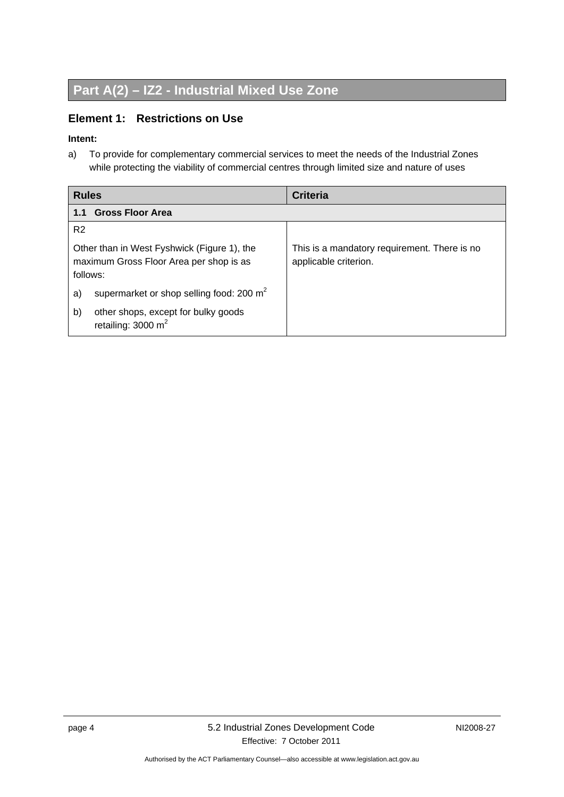# <span id="page-7-0"></span>**Part A(2) – IZ2 - Industrial Mixed Use Zone**

### <span id="page-7-1"></span>**Element 1: Restrictions on Use**

#### **Intent:**

a) To provide for complementary commercial services to meet the needs of the Industrial Zones while protecting the viability of commercial centres through limited size and nature of uses

<span id="page-7-2"></span>

| <b>Rules</b>                                                                                       | <b>Criteria</b>                                                       |
|----------------------------------------------------------------------------------------------------|-----------------------------------------------------------------------|
| <b>Gross Floor Area</b><br>1.1                                                                     |                                                                       |
| R <sub>2</sub>                                                                                     |                                                                       |
| Other than in West Fyshwick (Figure 1), the<br>maximum Gross Floor Area per shop is as<br>follows: | This is a mandatory requirement. There is no<br>applicable criterion. |
| supermarket or shop selling food: 200 m <sup>2</sup><br>a)                                         |                                                                       |
| other shops, except for bulky goods<br>b)<br>retailing: $3000 \text{ m}^2$                         |                                                                       |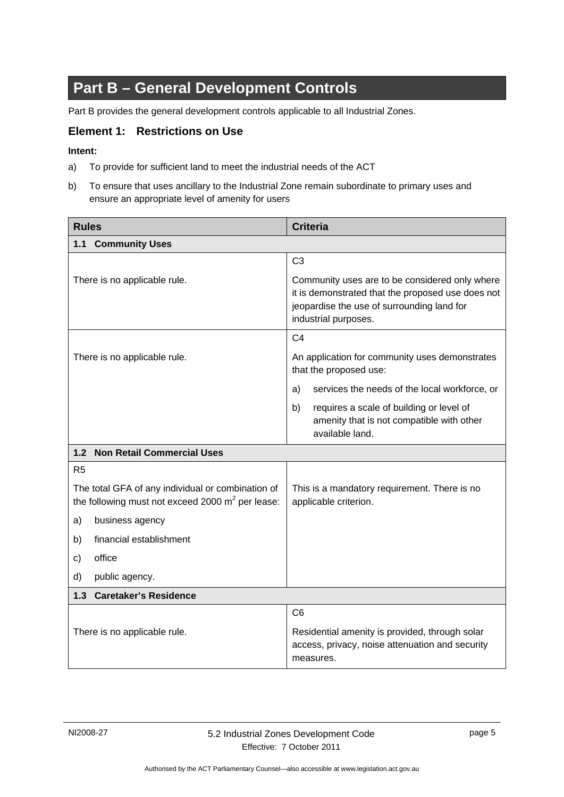# **Part B – General Development Controls**

<span id="page-8-0"></span>Part B provides the general development controls applicable to all Industrial Zones.

#### <span id="page-8-1"></span>**Element 1: Restrictions on Use**

#### **Intent:**

- a) To provide for sufficient land to meet the industrial needs of the ACT
- b) To ensure that uses ancillary to the Industrial Zone remain subordinate to primary uses and ensure an appropriate level of amenity for users

<span id="page-8-3"></span><span id="page-8-2"></span>

| <b>Rules</b>                                                                                             | <b>Criteria</b>                                                                                                                                                           |  |
|----------------------------------------------------------------------------------------------------------|---------------------------------------------------------------------------------------------------------------------------------------------------------------------------|--|
| 1.1 Community Uses                                                                                       |                                                                                                                                                                           |  |
|                                                                                                          | C <sub>3</sub>                                                                                                                                                            |  |
| There is no applicable rule.                                                                             | Community uses are to be considered only where<br>it is demonstrated that the proposed use does not<br>jeopardise the use of surrounding land for<br>industrial purposes. |  |
|                                                                                                          | C <sub>4</sub>                                                                                                                                                            |  |
| There is no applicable rule.                                                                             | An application for community uses demonstrates<br>that the proposed use:                                                                                                  |  |
|                                                                                                          | services the needs of the local workforce, or<br>a)                                                                                                                       |  |
|                                                                                                          | b)<br>requires a scale of building or level of<br>amenity that is not compatible with other<br>available land.                                                            |  |
| 1.2 Non Retail Commercial Uses                                                                           |                                                                                                                                                                           |  |
| R <sub>5</sub>                                                                                           |                                                                                                                                                                           |  |
| The total GFA of any individual or combination of<br>the following must not exceed 2000 $m^2$ per lease: | This is a mandatory requirement. There is no<br>applicable criterion.                                                                                                     |  |
| business agency<br>a)                                                                                    |                                                                                                                                                                           |  |
| financial establishment<br>b)                                                                            |                                                                                                                                                                           |  |
| office<br>c)                                                                                             |                                                                                                                                                                           |  |
| d)<br>public agency.                                                                                     |                                                                                                                                                                           |  |
| <b>Caretaker's Residence</b><br>1.3                                                                      |                                                                                                                                                                           |  |
|                                                                                                          | C <sub>6</sub>                                                                                                                                                            |  |
| There is no applicable rule.                                                                             | Residential amenity is provided, through solar<br>access, privacy, noise attenuation and security<br>measures.                                                            |  |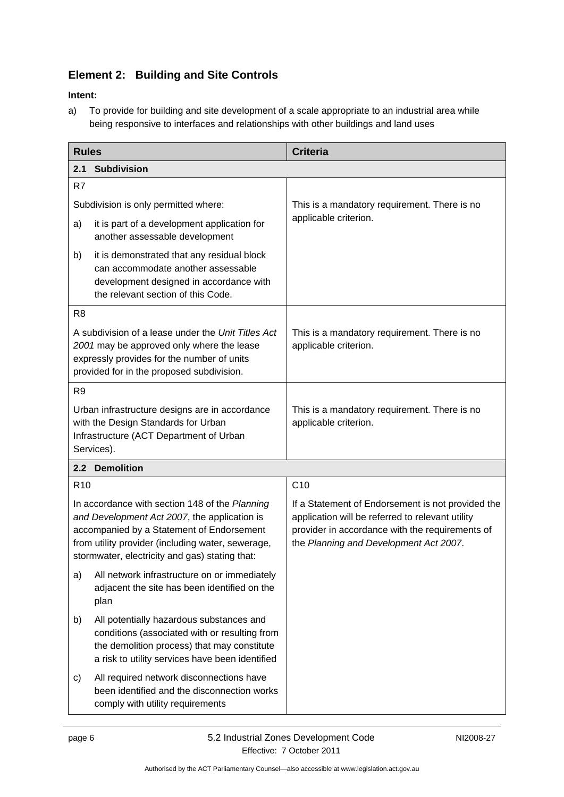# <span id="page-9-1"></span>**Element 2: Building and Site Controls**

#### **Intent:**

a) To provide for building and site development of a scale appropriate to an industrial area while being responsive to interfaces and relationships with other buildings and land uses

<span id="page-9-2"></span><span id="page-9-0"></span>

| <b>Rules</b>                                                                                                                                                                                                                                       |                                                                                                                                                                                             | <b>Criteria</b>                                                                                                                                                                                    |  |
|----------------------------------------------------------------------------------------------------------------------------------------------------------------------------------------------------------------------------------------------------|---------------------------------------------------------------------------------------------------------------------------------------------------------------------------------------------|----------------------------------------------------------------------------------------------------------------------------------------------------------------------------------------------------|--|
| <b>Subdivision</b><br>2.1                                                                                                                                                                                                                          |                                                                                                                                                                                             |                                                                                                                                                                                                    |  |
| R7                                                                                                                                                                                                                                                 |                                                                                                                                                                                             |                                                                                                                                                                                                    |  |
| Subdivision is only permitted where:                                                                                                                                                                                                               |                                                                                                                                                                                             | This is a mandatory requirement. There is no                                                                                                                                                       |  |
| a)                                                                                                                                                                                                                                                 | it is part of a development application for<br>another assessable development                                                                                                               | applicable criterion.                                                                                                                                                                              |  |
| b)                                                                                                                                                                                                                                                 | it is demonstrated that any residual block<br>can accommodate another assessable<br>development designed in accordance with<br>the relevant section of this Code.                           |                                                                                                                                                                                                    |  |
| R <sub>8</sub>                                                                                                                                                                                                                                     |                                                                                                                                                                                             |                                                                                                                                                                                                    |  |
| A subdivision of a lease under the Unit Titles Act<br>2001 may be approved only where the lease<br>expressly provides for the number of units<br>provided for in the proposed subdivision.                                                         |                                                                                                                                                                                             | This is a mandatory requirement. There is no<br>applicable criterion.                                                                                                                              |  |
| R <sub>9</sub>                                                                                                                                                                                                                                     |                                                                                                                                                                                             |                                                                                                                                                                                                    |  |
| Urban infrastructure designs are in accordance<br>with the Design Standards for Urban<br>Infrastructure (ACT Department of Urban<br>Services).                                                                                                     |                                                                                                                                                                                             | This is a mandatory requirement. There is no<br>applicable criterion.                                                                                                                              |  |
|                                                                                                                                                                                                                                                    | 2.2 Demolition                                                                                                                                                                              |                                                                                                                                                                                                    |  |
| R <sub>10</sub>                                                                                                                                                                                                                                    |                                                                                                                                                                                             | C10                                                                                                                                                                                                |  |
| In accordance with section 148 of the Planning<br>and Development Act 2007, the application is<br>accompanied by a Statement of Endorsement<br>from utility provider (including water, sewerage,<br>stormwater, electricity and gas) stating that: |                                                                                                                                                                                             | If a Statement of Endorsement is not provided the<br>application will be referred to relevant utility<br>provider in accordance with the requirements of<br>the Planning and Development Act 2007. |  |
| a)                                                                                                                                                                                                                                                 | All network infrastructure on or immediately<br>adjacent the site has been identified on the<br>plan                                                                                        |                                                                                                                                                                                                    |  |
| b)                                                                                                                                                                                                                                                 | All potentially hazardous substances and<br>conditions (associated with or resulting from<br>the demolition process) that may constitute<br>a risk to utility services have been identified |                                                                                                                                                                                                    |  |
| C)                                                                                                                                                                                                                                                 | All required network disconnections have<br>been identified and the disconnection works<br>comply with utility requirements                                                                 |                                                                                                                                                                                                    |  |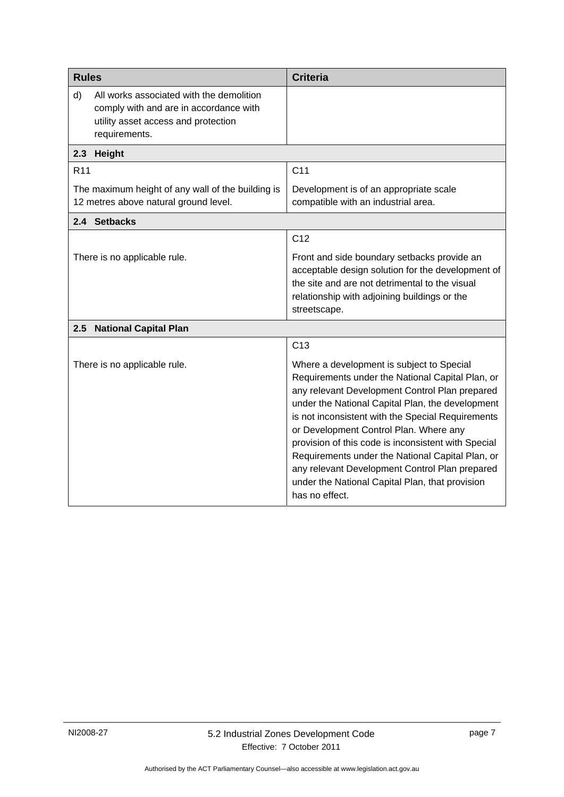<span id="page-10-3"></span><span id="page-10-2"></span><span id="page-10-1"></span><span id="page-10-0"></span>

| <b>Rules</b>                                                                                                                                     | <b>Criteria</b>                                                                                                                                                                                                                                                                                                                                                                                                                                                                                                                      |
|--------------------------------------------------------------------------------------------------------------------------------------------------|--------------------------------------------------------------------------------------------------------------------------------------------------------------------------------------------------------------------------------------------------------------------------------------------------------------------------------------------------------------------------------------------------------------------------------------------------------------------------------------------------------------------------------------|
| d)<br>All works associated with the demolition<br>comply with and are in accordance with<br>utility asset access and protection<br>requirements. |                                                                                                                                                                                                                                                                                                                                                                                                                                                                                                                                      |
| 2.3 Height                                                                                                                                       |                                                                                                                                                                                                                                                                                                                                                                                                                                                                                                                                      |
| R <sub>11</sub>                                                                                                                                  | C <sub>11</sub>                                                                                                                                                                                                                                                                                                                                                                                                                                                                                                                      |
| The maximum height of any wall of the building is<br>12 metres above natural ground level.                                                       | Development is of an appropriate scale<br>compatible with an industrial area.                                                                                                                                                                                                                                                                                                                                                                                                                                                        |
| 2.4 Setbacks                                                                                                                                     |                                                                                                                                                                                                                                                                                                                                                                                                                                                                                                                                      |
|                                                                                                                                                  | C <sub>12</sub>                                                                                                                                                                                                                                                                                                                                                                                                                                                                                                                      |
| There is no applicable rule.                                                                                                                     | Front and side boundary setbacks provide an<br>acceptable design solution for the development of<br>the site and are not detrimental to the visual<br>relationship with adjoining buildings or the<br>streetscape.                                                                                                                                                                                                                                                                                                                   |
| 2.5 National Capital Plan                                                                                                                        |                                                                                                                                                                                                                                                                                                                                                                                                                                                                                                                                      |
|                                                                                                                                                  | C <sub>13</sub>                                                                                                                                                                                                                                                                                                                                                                                                                                                                                                                      |
| There is no applicable rule.                                                                                                                     | Where a development is subject to Special<br>Requirements under the National Capital Plan, or<br>any relevant Development Control Plan prepared<br>under the National Capital Plan, the development<br>is not inconsistent with the Special Requirements<br>or Development Control Plan. Where any<br>provision of this code is inconsistent with Special<br>Requirements under the National Capital Plan, or<br>any relevant Development Control Plan prepared<br>under the National Capital Plan, that provision<br>has no effect. |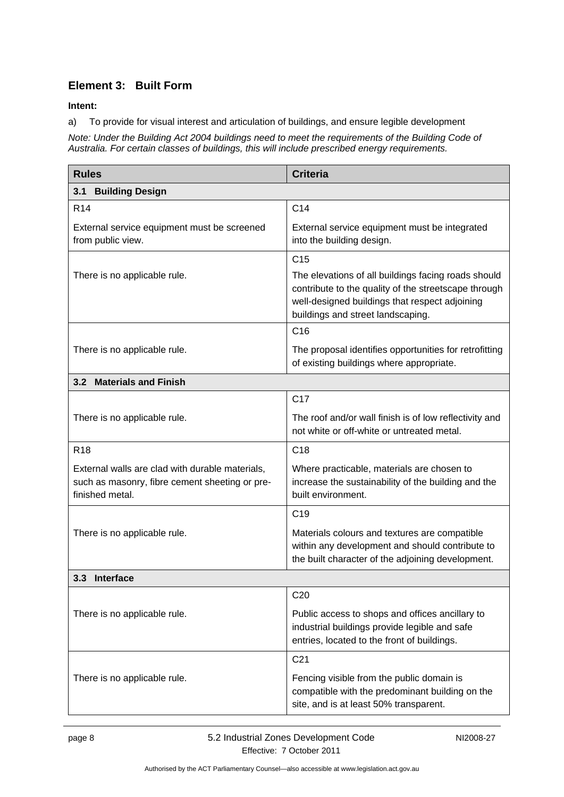### **Element 3: Built Form**

**Intent:** 

a) To provide for visual interest and articulation of buildings, and ensure legible development

*Note: Under the Building Act 2004 buildings need to meet the requirements of the Building Code of Australia. For certain classes of buildings, this will include prescribed energy requirements.* 

| <b>Rules</b>                                                                                                         | <b>Criteria</b>                                                                                                                                       |  |  |
|----------------------------------------------------------------------------------------------------------------------|-------------------------------------------------------------------------------------------------------------------------------------------------------|--|--|
| <b>Building Design</b><br>3.1                                                                                        |                                                                                                                                                       |  |  |
| R <sub>14</sub>                                                                                                      | C14                                                                                                                                                   |  |  |
| External service equipment must be screened<br>from public view.                                                     | External service equipment must be integrated<br>into the building design.                                                                            |  |  |
| There is no applicable rule.                                                                                         | C <sub>15</sub><br>The elevations of all buildings facing roads should<br>contribute to the quality of the streetscape through                        |  |  |
|                                                                                                                      | well-designed buildings that respect adjoining<br>buildings and street landscaping.                                                                   |  |  |
|                                                                                                                      | C <sub>16</sub>                                                                                                                                       |  |  |
| There is no applicable rule.                                                                                         | The proposal identifies opportunities for retrofitting<br>of existing buildings where appropriate.                                                    |  |  |
| 3.2 Materials and Finish                                                                                             |                                                                                                                                                       |  |  |
|                                                                                                                      | C <sub>17</sub>                                                                                                                                       |  |  |
| There is no applicable rule.                                                                                         | The roof and/or wall finish is of low reflectivity and<br>not white or off-white or untreated metal.                                                  |  |  |
| <b>R18</b>                                                                                                           | C <sub>18</sub>                                                                                                                                       |  |  |
| External walls are clad with durable materials,<br>such as masonry, fibre cement sheeting or pre-<br>finished metal. | Where practicable, materials are chosen to<br>increase the sustainability of the building and the<br>built environment.                               |  |  |
|                                                                                                                      | C <sub>19</sub>                                                                                                                                       |  |  |
| There is no applicable rule.                                                                                         | Materials colours and textures are compatible<br>within any development and should contribute to<br>the built character of the adjoining development. |  |  |
| 3.3 Interface                                                                                                        |                                                                                                                                                       |  |  |
|                                                                                                                      | C <sub>20</sub>                                                                                                                                       |  |  |
| There is no applicable rule.                                                                                         | Public access to shops and offices ancillary to<br>industrial buildings provide legible and safe<br>entries, located to the front of buildings.       |  |  |
|                                                                                                                      | C <sub>21</sub>                                                                                                                                       |  |  |
| There is no applicable rule.                                                                                         | Fencing visible from the public domain is<br>compatible with the predominant building on the<br>site, and is at least 50% transparent.                |  |  |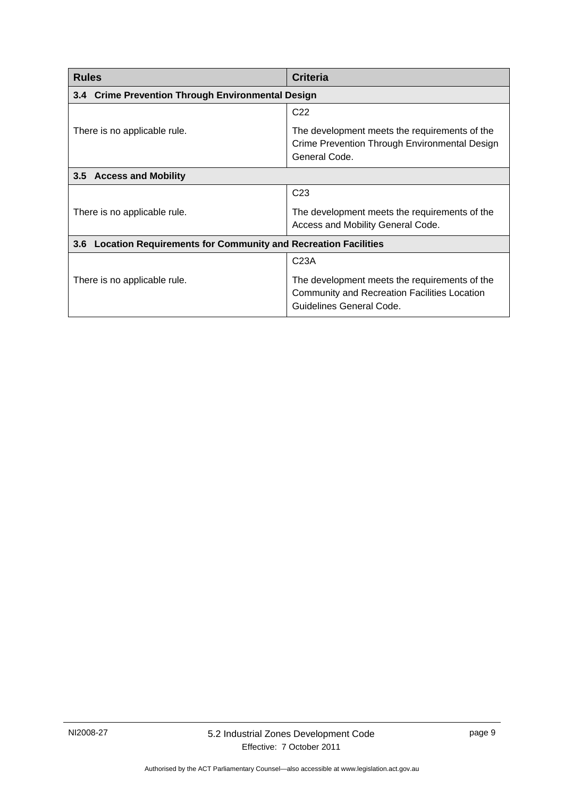<span id="page-12-2"></span><span id="page-12-1"></span><span id="page-12-0"></span>

| <b>Rules</b>                                                                | <b>Criteria</b>                                                                                                                  |  |
|-----------------------------------------------------------------------------|----------------------------------------------------------------------------------------------------------------------------------|--|
| 3.4 Crime Prevention Through Environmental Design                           |                                                                                                                                  |  |
|                                                                             | C <sub>22</sub>                                                                                                                  |  |
| There is no applicable rule.                                                | The development meets the requirements of the<br>Crime Prevention Through Environmental Design<br>General Code.                  |  |
| 3.5 Access and Mobility                                                     |                                                                                                                                  |  |
|                                                                             | C <sub>23</sub>                                                                                                                  |  |
| There is no applicable rule.                                                | The development meets the requirements of the<br>Access and Mobility General Code.                                               |  |
| <b>Location Requirements for Community and Recreation Facilities</b><br>3.6 |                                                                                                                                  |  |
|                                                                             | C <sub>23A</sub>                                                                                                                 |  |
| There is no applicable rule.                                                | The development meets the requirements of the<br><b>Community and Recreation Facilities Location</b><br>Guidelines General Code. |  |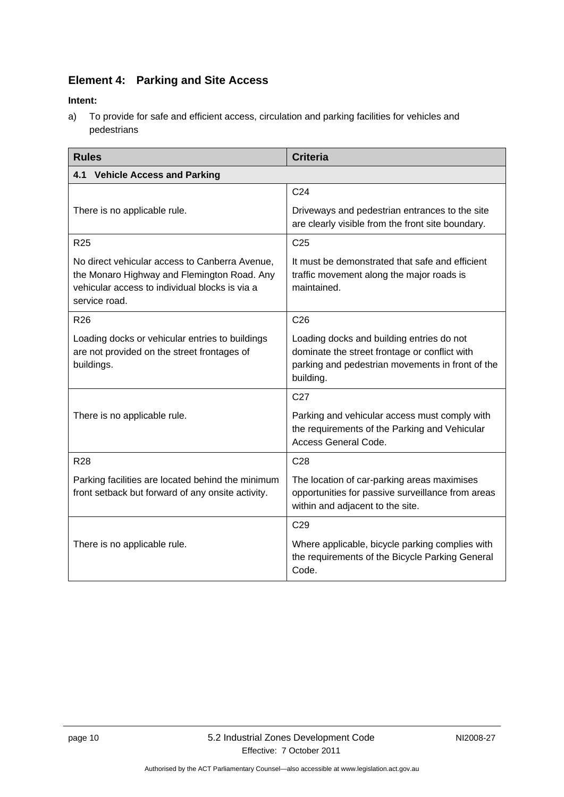# **Element 4: Parking and Site Access**

#### <span id="page-13-1"></span>**Intent:**

a) To provide for safe and efficient access, circulation and parking facilities for vehicles and pedestrians

<span id="page-13-3"></span><span id="page-13-2"></span><span id="page-13-0"></span>

| <b>Rules</b>                                                                                                                                                     | <b>Criteria</b>                                                                                                                                             |  |
|------------------------------------------------------------------------------------------------------------------------------------------------------------------|-------------------------------------------------------------------------------------------------------------------------------------------------------------|--|
| 4.1 Vehicle Access and Parking                                                                                                                                   |                                                                                                                                                             |  |
|                                                                                                                                                                  | C <sub>24</sub>                                                                                                                                             |  |
| There is no applicable rule.                                                                                                                                     | Driveways and pedestrian entrances to the site<br>are clearly visible from the front site boundary.                                                         |  |
| R <sub>25</sub>                                                                                                                                                  | C <sub>25</sub>                                                                                                                                             |  |
| No direct vehicular access to Canberra Avenue,<br>the Monaro Highway and Flemington Road. Any<br>vehicular access to individual blocks is via a<br>service road. | It must be demonstrated that safe and efficient<br>traffic movement along the major roads is<br>maintained.                                                 |  |
| R <sub>26</sub>                                                                                                                                                  | C <sub>26</sub>                                                                                                                                             |  |
| Loading docks or vehicular entries to buildings<br>are not provided on the street frontages of<br>buildings.                                                     | Loading docks and building entries do not<br>dominate the street frontage or conflict with<br>parking and pedestrian movements in front of the<br>building. |  |
|                                                                                                                                                                  | C <sub>27</sub>                                                                                                                                             |  |
| There is no applicable rule.                                                                                                                                     | Parking and vehicular access must comply with<br>the requirements of the Parking and Vehicular<br>Access General Code.                                      |  |
| <b>R28</b>                                                                                                                                                       | C <sub>28</sub>                                                                                                                                             |  |
| Parking facilities are located behind the minimum<br>front setback but forward of any onsite activity.                                                           | The location of car-parking areas maximises<br>opportunities for passive surveillance from areas<br>within and adjacent to the site.                        |  |
|                                                                                                                                                                  | C <sub>29</sub>                                                                                                                                             |  |
| There is no applicable rule.                                                                                                                                     | Where applicable, bicycle parking complies with<br>the requirements of the Bicycle Parking General<br>Code.                                                 |  |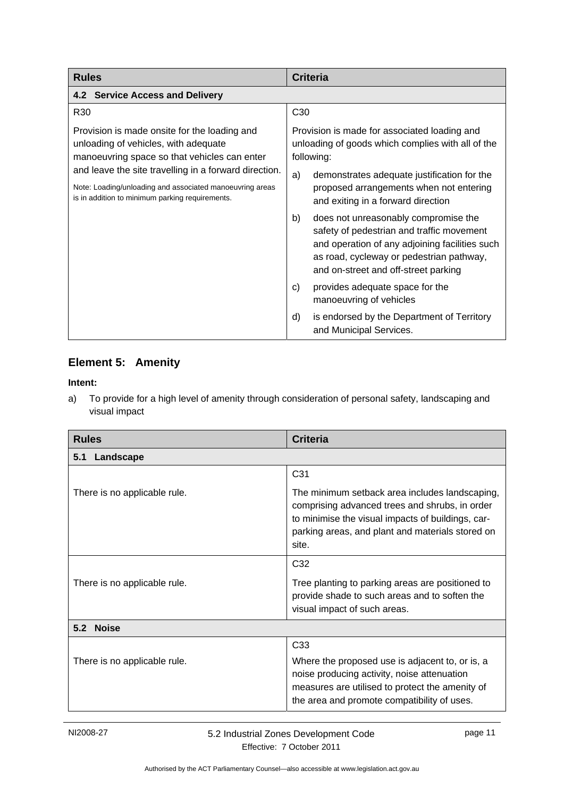<span id="page-14-1"></span><span id="page-14-0"></span>

| <b>Rules</b>                                                                                                                                                         | <b>Criteria</b>                                                                                                                                                                                                               |
|----------------------------------------------------------------------------------------------------------------------------------------------------------------------|-------------------------------------------------------------------------------------------------------------------------------------------------------------------------------------------------------------------------------|
| 4.2 Service Access and Delivery                                                                                                                                      |                                                                                                                                                                                                                               |
| R <sub>30</sub>                                                                                                                                                      | C <sub>30</sub>                                                                                                                                                                                                               |
| Provision is made onsite for the loading and<br>unloading of vehicles, with adequate<br>manoeuvring space so that vehicles can enter                                 | Provision is made for associated loading and<br>unloading of goods which complies with all of the<br>following:                                                                                                               |
| and leave the site travelling in a forward direction.<br>Note: Loading/unloading and associated manoeuvring areas<br>is in addition to minimum parking requirements. | a)<br>demonstrates adequate justification for the<br>proposed arrangements when not entering<br>and exiting in a forward direction                                                                                            |
|                                                                                                                                                                      | does not unreasonably compromise the<br>b)<br>safety of pedestrian and traffic movement<br>and operation of any adjoining facilities such<br>as road, cycleway or pedestrian pathway,<br>and on-street and off-street parking |
|                                                                                                                                                                      | provides adequate space for the<br>C)<br>manoeuvring of vehicles                                                                                                                                                              |
|                                                                                                                                                                      | is endorsed by the Department of Territory<br>d)<br>and Municipal Services.                                                                                                                                                   |

### **Element 5: Amenity**

#### **Intent:**

a) To provide for a high level of amenity through consideration of personal safety, landscaping and visual impact

| <b>Rules</b>                 | <b>Criteria</b>                                                                                                                                                                                                    |  |
|------------------------------|--------------------------------------------------------------------------------------------------------------------------------------------------------------------------------------------------------------------|--|
| Landscape<br>5.1             |                                                                                                                                                                                                                    |  |
|                              | C31                                                                                                                                                                                                                |  |
| There is no applicable rule. | The minimum setback area includes landscaping,<br>comprising advanced trees and shrubs, in order<br>to minimise the visual impacts of buildings, car-<br>parking areas, and plant and materials stored on<br>site. |  |
|                              | C <sub>32</sub>                                                                                                                                                                                                    |  |
| There is no applicable rule. | Tree planting to parking areas are positioned to<br>provide shade to such areas and to soften the<br>visual impact of such areas.                                                                                  |  |
| 5.2 Noise                    |                                                                                                                                                                                                                    |  |
|                              | C <sub>33</sub>                                                                                                                                                                                                    |  |
| There is no applicable rule. | Where the proposed use is adjacent to, or is, a<br>noise producing activity, noise attenuation<br>measures are utilised to protect the amenity of<br>the area and promote compatibility of uses.                   |  |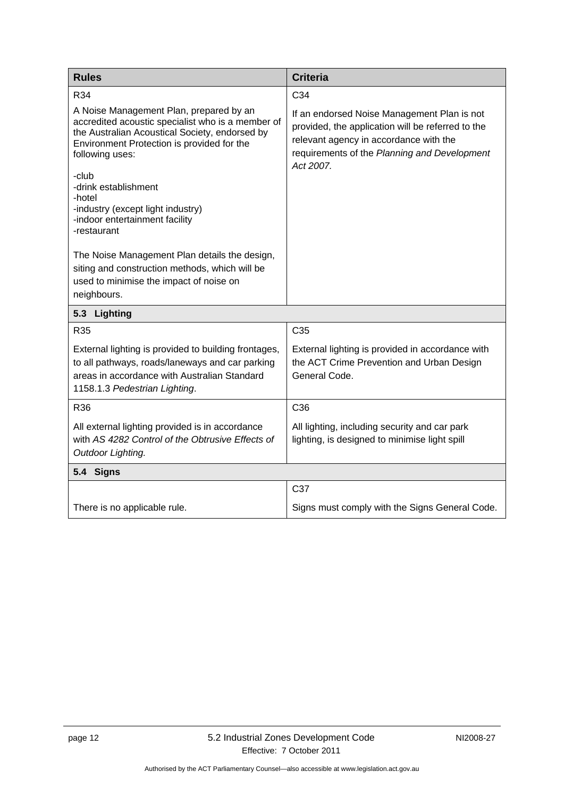<span id="page-15-2"></span><span id="page-15-1"></span><span id="page-15-0"></span>

| <b>Rules</b>                                                                                                                                                                                                             | <b>Criteria</b>                                                                                                                                                                                         |
|--------------------------------------------------------------------------------------------------------------------------------------------------------------------------------------------------------------------------|---------------------------------------------------------------------------------------------------------------------------------------------------------------------------------------------------------|
| R34                                                                                                                                                                                                                      | C34                                                                                                                                                                                                     |
| A Noise Management Plan, prepared by an<br>accredited acoustic specialist who is a member of<br>the Australian Acoustical Society, endorsed by<br>Environment Protection is provided for the<br>following uses:<br>-club | If an endorsed Noise Management Plan is not<br>provided, the application will be referred to the<br>relevant agency in accordance with the<br>requirements of the Planning and Development<br>Act 2007. |
| -drink establishment<br>-hotel                                                                                                                                                                                           |                                                                                                                                                                                                         |
| -industry (except light industry)<br>-indoor entertainment facility<br>-restaurant                                                                                                                                       |                                                                                                                                                                                                         |
| The Noise Management Plan details the design,<br>siting and construction methods, which will be<br>used to minimise the impact of noise on<br>neighbours.                                                                |                                                                                                                                                                                                         |
| 5.3<br>Lighting                                                                                                                                                                                                          |                                                                                                                                                                                                         |
| R35                                                                                                                                                                                                                      | C <sub>35</sub>                                                                                                                                                                                         |
| External lighting is provided to building frontages,<br>to all pathways, roads/laneways and car parking<br>areas in accordance with Australian Standard<br>1158.1.3 Pedestrian Lighting.                                 | External lighting is provided in accordance with<br>the ACT Crime Prevention and Urban Design<br>General Code.                                                                                          |
| R36                                                                                                                                                                                                                      | C36                                                                                                                                                                                                     |
| All external lighting provided is in accordance<br>with AS 4282 Control of the Obtrusive Effects of<br>Outdoor Lighting.                                                                                                 | All lighting, including security and car park<br>lighting, is designed to minimise light spill                                                                                                          |
| 5.4 Signs                                                                                                                                                                                                                |                                                                                                                                                                                                         |
|                                                                                                                                                                                                                          | C37                                                                                                                                                                                                     |
| There is no applicable rule.                                                                                                                                                                                             | Signs must comply with the Signs General Code.                                                                                                                                                          |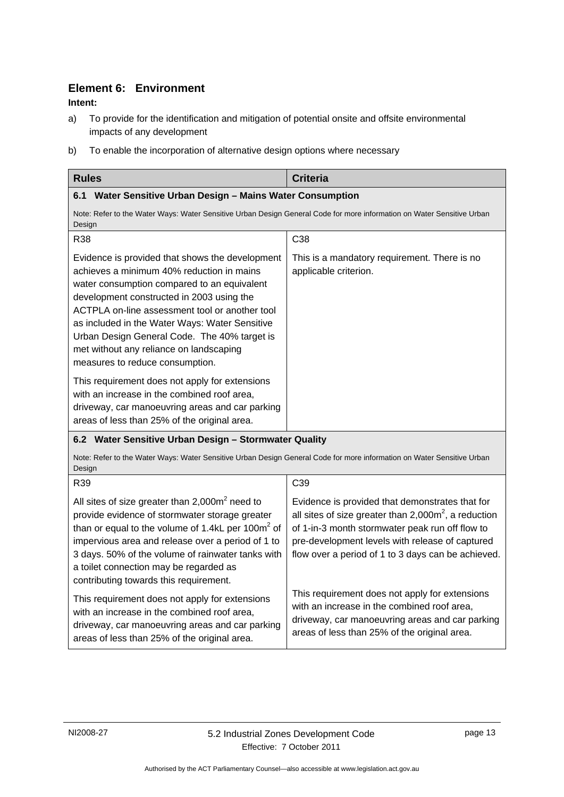### **Element 6: Environment**

#### **Intent:**

- a) To provide for the identification and mitigation of potential onsite and offsite environmental impacts of any development
- b) To enable the incorporation of alternative design options where necessary

<span id="page-16-2"></span><span id="page-16-1"></span><span id="page-16-0"></span>

| <b>Rules</b>                                                                                                                                                                                                                                                                                                                                                                                                               | <b>Criteria</b>                                                                                                                                                                                                                                                        |  |
|----------------------------------------------------------------------------------------------------------------------------------------------------------------------------------------------------------------------------------------------------------------------------------------------------------------------------------------------------------------------------------------------------------------------------|------------------------------------------------------------------------------------------------------------------------------------------------------------------------------------------------------------------------------------------------------------------------|--|
| 6.1<br>Water Sensitive Urban Design - Mains Water Consumption                                                                                                                                                                                                                                                                                                                                                              |                                                                                                                                                                                                                                                                        |  |
| Note: Refer to the Water Ways: Water Sensitive Urban Design General Code for more information on Water Sensitive Urban<br>Design                                                                                                                                                                                                                                                                                           |                                                                                                                                                                                                                                                                        |  |
| R38                                                                                                                                                                                                                                                                                                                                                                                                                        | C38                                                                                                                                                                                                                                                                    |  |
| Evidence is provided that shows the development<br>achieves a minimum 40% reduction in mains<br>water consumption compared to an equivalent<br>development constructed in 2003 using the<br>ACTPLA on-line assessment tool or another tool<br>as included in the Water Ways: Water Sensitive<br>Urban Design General Code. The 40% target is<br>met without any reliance on landscaping<br>measures to reduce consumption. | This is a mandatory requirement. There is no<br>applicable criterion.                                                                                                                                                                                                  |  |
| This requirement does not apply for extensions<br>with an increase in the combined roof area,<br>driveway, car manoeuvring areas and car parking<br>areas of less than 25% of the original area.                                                                                                                                                                                                                           |                                                                                                                                                                                                                                                                        |  |
| 6.2 Water Sensitive Urban Design - Stormwater Quality                                                                                                                                                                                                                                                                                                                                                                      |                                                                                                                                                                                                                                                                        |  |
| Note: Refer to the Water Ways: Water Sensitive Urban Design General Code for more information on Water Sensitive Urban<br>Design                                                                                                                                                                                                                                                                                           |                                                                                                                                                                                                                                                                        |  |
| R39                                                                                                                                                                                                                                                                                                                                                                                                                        | C39                                                                                                                                                                                                                                                                    |  |
| All sites of size greater than $2,000m^2$ need to<br>provide evidence of stormwater storage greater<br>than or equal to the volume of 1.4kL per 100m <sup>2</sup> of<br>impervious area and release over a period of 1 to<br>3 days. 50% of the volume of rainwater tanks with<br>a toilet connection may be regarded as<br>contributing towards this requirement.                                                         | Evidence is provided that demonstrates that for<br>all sites of size greater than $2,000m^2$ , a reduction<br>of 1-in-3 month stormwater peak run off flow to<br>pre-development levels with release of captured<br>flow over a period of 1 to 3 days can be achieved. |  |
| This requirement does not apply for extensions<br>with an increase in the combined roof area,<br>driveway, car manoeuvring areas and car parking<br>areas of less than 25% of the original area.                                                                                                                                                                                                                           | This requirement does not apply for extensions<br>with an increase in the combined roof area,<br>driveway, car manoeuvring areas and car parking<br>areas of less than 25% of the original area.                                                                       |  |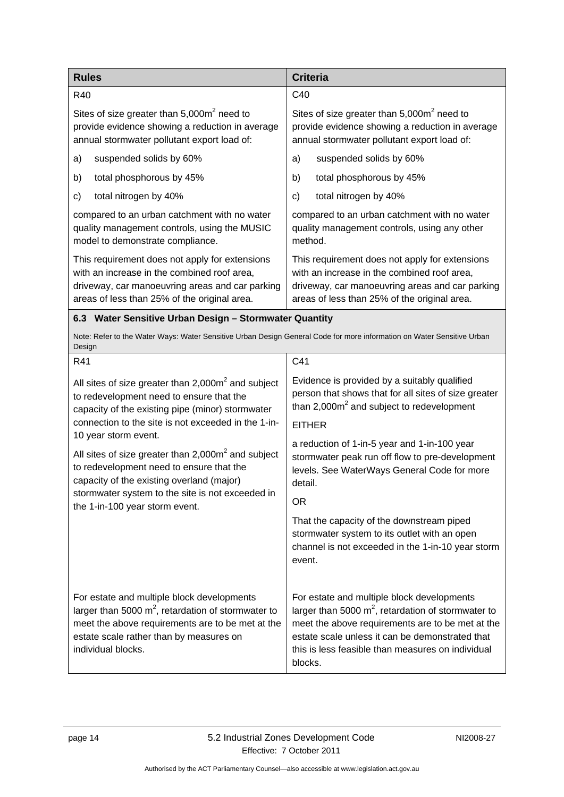<span id="page-17-2"></span><span id="page-17-1"></span><span id="page-17-0"></span>

| <b>Rules</b>                                                                                                                                                                                                             | <b>Criteria</b>                                                                                                                                                                                                                                                            |  |
|--------------------------------------------------------------------------------------------------------------------------------------------------------------------------------------------------------------------------|----------------------------------------------------------------------------------------------------------------------------------------------------------------------------------------------------------------------------------------------------------------------------|--|
| R40                                                                                                                                                                                                                      | C40                                                                                                                                                                                                                                                                        |  |
| Sites of size greater than 5,000m <sup>2</sup> need to<br>provide evidence showing a reduction in average<br>annual stormwater pollutant export load of:                                                                 | Sites of size greater than $5,000m^2$ need to<br>provide evidence showing a reduction in average<br>annual stormwater pollutant export load of:                                                                                                                            |  |
| suspended solids by 60%<br>a)                                                                                                                                                                                            | suspended solids by 60%<br>a)                                                                                                                                                                                                                                              |  |
| total phosphorous by 45%<br>b)                                                                                                                                                                                           | total phosphorous by 45%<br>b)                                                                                                                                                                                                                                             |  |
| total nitrogen by 40%<br>c)                                                                                                                                                                                              | total nitrogen by 40%<br>c)                                                                                                                                                                                                                                                |  |
| compared to an urban catchment with no water<br>quality management controls, using the MUSIC<br>model to demonstrate compliance.                                                                                         | compared to an urban catchment with no water<br>quality management controls, using any other<br>method.                                                                                                                                                                    |  |
| This requirement does not apply for extensions<br>with an increase in the combined roof area,<br>driveway, car manoeuvring areas and car parking<br>areas of less than 25% of the original area.                         | This requirement does not apply for extensions<br>with an increase in the combined roof area,<br>driveway, car manoeuvring areas and car parking<br>areas of less than 25% of the original area.                                                                           |  |
| 6.3 Water Sensitive Urban Design - Stormwater Quantity                                                                                                                                                                   |                                                                                                                                                                                                                                                                            |  |
| Note: Refer to the Water Ways: Water Sensitive Urban Design General Code for more information on Water Sensitive Urban<br>Design                                                                                         |                                                                                                                                                                                                                                                                            |  |
| R41                                                                                                                                                                                                                      | C41                                                                                                                                                                                                                                                                        |  |
| All sites of size greater than $2,000m^2$ and subject<br>to redevelopment need to ensure that the<br>capacity of the existing pipe (minor) stormwater                                                                    | Evidence is provided by a suitably qualified<br>person that shows that for all sites of size greater<br>than $2,000m^2$ and subject to redevelopment                                                                                                                       |  |
| connection to the site is not exceeded in the 1-in-                                                                                                                                                                      | <b>EITHER</b>                                                                                                                                                                                                                                                              |  |
| 10 year storm event.<br>All sites of size greater than $2,000\,\text{m}^2$ and subject<br>to redevelopment need to ensure that the<br>capacity of the existing overland (major)                                          | a reduction of 1-in-5 year and 1-in-100 year<br>stormwater peak run off flow to pre-development<br>levels. See WaterWays General Code for more<br>detail.                                                                                                                  |  |
| stormwater system to the site is not exceeded in<br>the 1-in-100 year storm event.                                                                                                                                       | <b>OR</b>                                                                                                                                                                                                                                                                  |  |
|                                                                                                                                                                                                                          | That the capacity of the downstream piped<br>stormwater system to its outlet with an open<br>channel is not exceeded in the 1-in-10 year storm<br>event.                                                                                                                   |  |
| For estate and multiple block developments<br>larger than 5000 $m^2$ , retardation of stormwater to<br>meet the above requirements are to be met at the<br>estate scale rather than by measures on<br>individual blocks. | For estate and multiple block developments<br>larger than 5000 $m^2$ , retardation of stormwater to<br>meet the above requirements are to be met at the<br>estate scale unless it can be demonstrated that<br>this is less feasible than measures on individual<br>blocks. |  |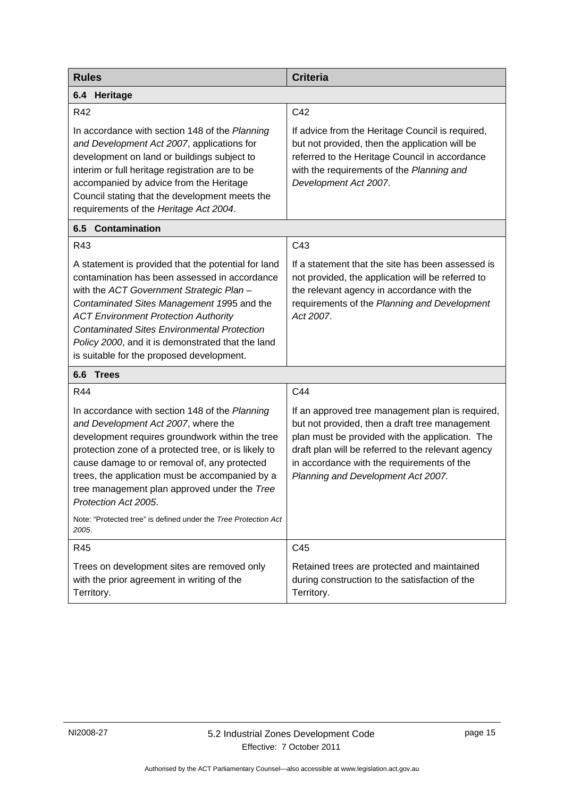<span id="page-18-0"></span>

| <b>Rules</b>                                                                                                                                                                                                                                                                                                                                                                                                                                   | <b>Criteria</b>                                                                                                                                                                                                                                                                                 |
|------------------------------------------------------------------------------------------------------------------------------------------------------------------------------------------------------------------------------------------------------------------------------------------------------------------------------------------------------------------------------------------------------------------------------------------------|-------------------------------------------------------------------------------------------------------------------------------------------------------------------------------------------------------------------------------------------------------------------------------------------------|
| 6.4 Heritage                                                                                                                                                                                                                                                                                                                                                                                                                                   |                                                                                                                                                                                                                                                                                                 |
| R42                                                                                                                                                                                                                                                                                                                                                                                                                                            | C42                                                                                                                                                                                                                                                                                             |
| In accordance with section 148 of the Planning<br>and Development Act 2007, applications for<br>development on land or buildings subject to<br>interim or full heritage registration are to be<br>accompanied by advice from the Heritage<br>Council stating that the development meets the<br>requirements of the Heritage Act 2004.                                                                                                          | If advice from the Heritage Council is required,<br>but not provided, then the application will be<br>referred to the Heritage Council in accordance<br>with the requirements of the Planning and<br>Development Act 2007.                                                                      |
| 6.5<br><b>Contamination</b>                                                                                                                                                                                                                                                                                                                                                                                                                    |                                                                                                                                                                                                                                                                                                 |
| R43                                                                                                                                                                                                                                                                                                                                                                                                                                            | C43                                                                                                                                                                                                                                                                                             |
| A statement is provided that the potential for land<br>contamination has been assessed in accordance<br>with the ACT Government Strategic Plan -<br>Contaminated Sites Management 1995 and the<br><b>ACT Environment Protection Authority</b><br><b>Contaminated Sites Environmental Protection</b><br>Policy 2000, and it is demonstrated that the land<br>is suitable for the proposed development.                                          | If a statement that the site has been assessed is<br>not provided, the application will be referred to<br>the relevant agency in accordance with the<br>requirements of the Planning and Development<br>Act 2007.                                                                               |
| 6.6<br><b>Trees</b>                                                                                                                                                                                                                                                                                                                                                                                                                            |                                                                                                                                                                                                                                                                                                 |
| R44                                                                                                                                                                                                                                                                                                                                                                                                                                            | C44                                                                                                                                                                                                                                                                                             |
| In accordance with section 148 of the Planning<br>and Development Act 2007, where the<br>development requires groundwork within the tree<br>protection zone of a protected tree, or is likely to<br>cause damage to or removal of, any protected<br>trees, the application must be accompanied by a<br>tree management plan approved under the Tree<br>Protection Act 2005.<br>Note: "Protected tree" is defined under the Tree Protection Act | If an approved tree management plan is required,<br>but not provided, then a draft tree management<br>plan must be provided with the application. The<br>draft plan will be referred to the relevant agency<br>in accordance with the requirements of the<br>Planning and Development Act 2007. |
| 2005.                                                                                                                                                                                                                                                                                                                                                                                                                                          |                                                                                                                                                                                                                                                                                                 |
| R45                                                                                                                                                                                                                                                                                                                                                                                                                                            | C45                                                                                                                                                                                                                                                                                             |
| Trees on development sites are removed only<br>with the prior agreement in writing of the<br>Territory.                                                                                                                                                                                                                                                                                                                                        | Retained trees are protected and maintained<br>during construction to the satisfaction of the<br>Territory.                                                                                                                                                                                     |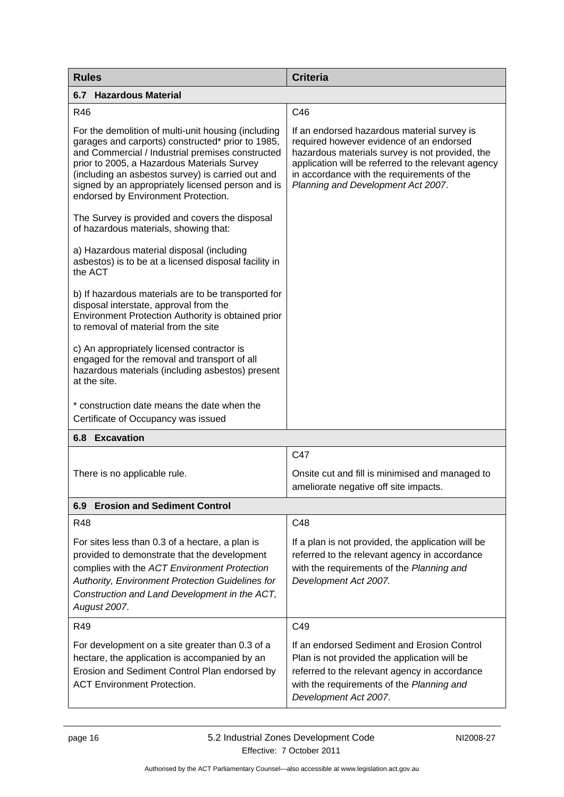<span id="page-19-2"></span><span id="page-19-1"></span><span id="page-19-0"></span>

| <b>Rules</b>                                                                                                                                                                                                                                                                                                                                                 | <b>Criteria</b>                                                                                                                                                                                                                                                                       |
|--------------------------------------------------------------------------------------------------------------------------------------------------------------------------------------------------------------------------------------------------------------------------------------------------------------------------------------------------------------|---------------------------------------------------------------------------------------------------------------------------------------------------------------------------------------------------------------------------------------------------------------------------------------|
| 6.7 Hazardous Material                                                                                                                                                                                                                                                                                                                                       |                                                                                                                                                                                                                                                                                       |
| <b>R46</b>                                                                                                                                                                                                                                                                                                                                                   | C46                                                                                                                                                                                                                                                                                   |
| For the demolition of multi-unit housing (including<br>garages and carports) constructed* prior to 1985,<br>and Commercial / Industrial premises constructed<br>prior to 2005, a Hazardous Materials Survey<br>(including an asbestos survey) is carried out and<br>signed by an appropriately licensed person and is<br>endorsed by Environment Protection. | If an endorsed hazardous material survey is<br>required however evidence of an endorsed<br>hazardous materials survey is not provided, the<br>application will be referred to the relevant agency<br>in accordance with the requirements of the<br>Planning and Development Act 2007. |
| The Survey is provided and covers the disposal<br>of hazardous materials, showing that:                                                                                                                                                                                                                                                                      |                                                                                                                                                                                                                                                                                       |
| a) Hazardous material disposal (including<br>asbestos) is to be at a licensed disposal facility in<br>the ACT                                                                                                                                                                                                                                                |                                                                                                                                                                                                                                                                                       |
| b) If hazardous materials are to be transported for<br>disposal interstate, approval from the<br>Environment Protection Authority is obtained prior<br>to removal of material from the site                                                                                                                                                                  |                                                                                                                                                                                                                                                                                       |
| c) An appropriately licensed contractor is<br>engaged for the removal and transport of all<br>hazardous materials (including asbestos) present<br>at the site.                                                                                                                                                                                               |                                                                                                                                                                                                                                                                                       |
| * construction date means the date when the<br>Certificate of Occupancy was issued                                                                                                                                                                                                                                                                           |                                                                                                                                                                                                                                                                                       |
| <b>6.8 Excavation</b>                                                                                                                                                                                                                                                                                                                                        |                                                                                                                                                                                                                                                                                       |
|                                                                                                                                                                                                                                                                                                                                                              | C47                                                                                                                                                                                                                                                                                   |
| There is no applicable rule.                                                                                                                                                                                                                                                                                                                                 | Onsite cut and fill is minimised and managed to<br>ameliorate negative off site impacts.                                                                                                                                                                                              |
| <b>Erosion and Sediment Control</b><br>6.9                                                                                                                                                                                                                                                                                                                   |                                                                                                                                                                                                                                                                                       |
| <b>R48</b>                                                                                                                                                                                                                                                                                                                                                   | C48                                                                                                                                                                                                                                                                                   |
| For sites less than 0.3 of a hectare, a plan is<br>provided to demonstrate that the development<br>complies with the ACT Environment Protection<br>Authority, Environment Protection Guidelines for<br>Construction and Land Development in the ACT,<br>August 2007.                                                                                         | If a plan is not provided, the application will be<br>referred to the relevant agency in accordance<br>with the requirements of the Planning and<br>Development Act 2007.                                                                                                             |
| R49                                                                                                                                                                                                                                                                                                                                                          | C49                                                                                                                                                                                                                                                                                   |
| For development on a site greater than 0.3 of a<br>hectare, the application is accompanied by an<br>Erosion and Sediment Control Plan endorsed by<br><b>ACT Environment Protection.</b>                                                                                                                                                                      | If an endorsed Sediment and Erosion Control<br>Plan is not provided the application will be<br>referred to the relevant agency in accordance<br>with the requirements of the Planning and<br>Development Act 2007.                                                                    |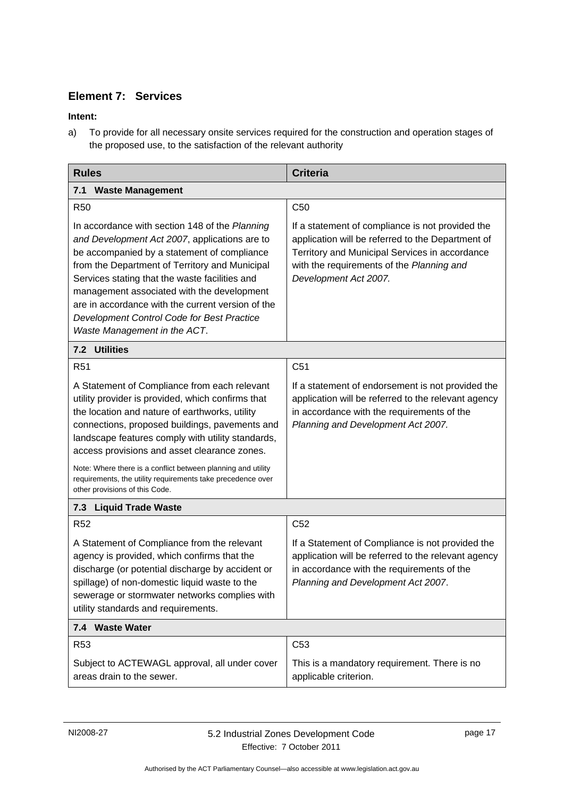### <span id="page-20-0"></span>**Element 7: Services**

#### **Intent:**

a) To provide for all necessary onsite services required for the construction and operation stages of the proposed use, to the satisfaction of the relevant authority

<span id="page-20-2"></span><span id="page-20-1"></span>

| <b>Rules</b>                                                                                                                                                                                                                                                                                                                                                                                                                        | <b>Criteria</b>                                                                                                                                                                                                               |
|-------------------------------------------------------------------------------------------------------------------------------------------------------------------------------------------------------------------------------------------------------------------------------------------------------------------------------------------------------------------------------------------------------------------------------------|-------------------------------------------------------------------------------------------------------------------------------------------------------------------------------------------------------------------------------|
| 7.1 Waste Management                                                                                                                                                                                                                                                                                                                                                                                                                |                                                                                                                                                                                                                               |
| <b>R50</b>                                                                                                                                                                                                                                                                                                                                                                                                                          | C <sub>50</sub>                                                                                                                                                                                                               |
| In accordance with section 148 of the Planning<br>and Development Act 2007, applications are to<br>be accompanied by a statement of compliance<br>from the Department of Territory and Municipal<br>Services stating that the waste facilities and<br>management associated with the development<br>are in accordance with the current version of the<br>Development Control Code for Best Practice<br>Waste Management in the ACT. | If a statement of compliance is not provided the<br>application will be referred to the Department of<br>Territory and Municipal Services in accordance<br>with the requirements of the Planning and<br>Development Act 2007. |
| 7.2 Utilities                                                                                                                                                                                                                                                                                                                                                                                                                       |                                                                                                                                                                                                                               |
| <b>R51</b>                                                                                                                                                                                                                                                                                                                                                                                                                          | C <sub>51</sub>                                                                                                                                                                                                               |
| A Statement of Compliance from each relevant<br>utility provider is provided, which confirms that<br>the location and nature of earthworks, utility<br>connections, proposed buildings, pavements and<br>landscape features comply with utility standards,<br>access provisions and asset clearance zones.<br>Note: Where there is a conflict between planning and utility                                                          | If a statement of endorsement is not provided the<br>application will be referred to the relevant agency<br>in accordance with the requirements of the<br>Planning and Development Act 2007.                                  |
| requirements, the utility requirements take precedence over<br>other provisions of this Code.                                                                                                                                                                                                                                                                                                                                       |                                                                                                                                                                                                                               |
| <b>Liquid Trade Waste</b><br>7.3                                                                                                                                                                                                                                                                                                                                                                                                    |                                                                                                                                                                                                                               |
| <b>R52</b>                                                                                                                                                                                                                                                                                                                                                                                                                          | C <sub>52</sub>                                                                                                                                                                                                               |
| A Statement of Compliance from the relevant<br>agency is provided, which confirms that the<br>discharge (or potential discharge by accident or<br>spillage) of non-domestic liquid waste to the<br>sewerage or stormwater networks complies with<br>utility standards and requirements.                                                                                                                                             | If a Statement of Compliance is not provided the<br>application will be referred to the relevant agency<br>in accordance with the requirements of the<br>Planning and Development Act 2007.                                   |
| 7.4 Waste Water                                                                                                                                                                                                                                                                                                                                                                                                                     |                                                                                                                                                                                                                               |
| R <sub>53</sub>                                                                                                                                                                                                                                                                                                                                                                                                                     | C <sub>53</sub>                                                                                                                                                                                                               |
| Subject to ACTEWAGL approval, all under cover<br>areas drain to the sewer.                                                                                                                                                                                                                                                                                                                                                          | This is a mandatory requirement. There is no<br>applicable criterion.                                                                                                                                                         |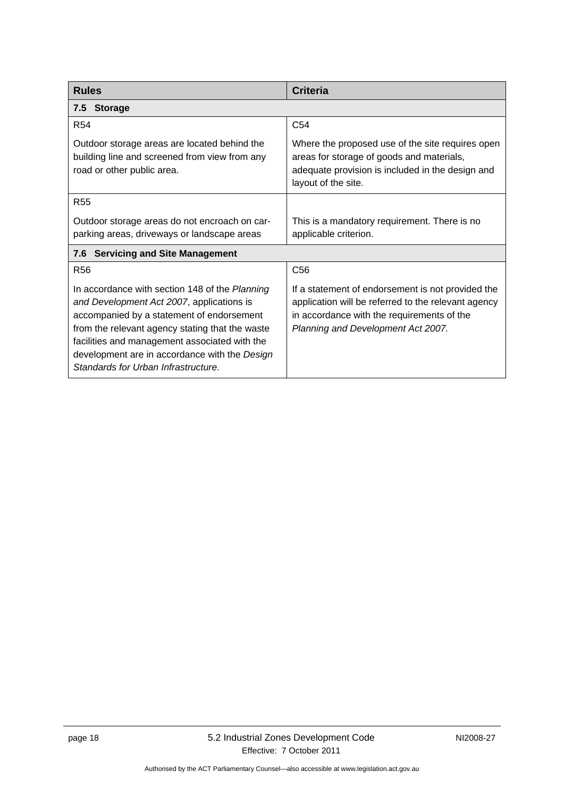| <b>Rules</b>                                                                                                                                                                                                                                                                                                                         | <b>Criteria</b>                                                                                                                                                                              |  |
|--------------------------------------------------------------------------------------------------------------------------------------------------------------------------------------------------------------------------------------------------------------------------------------------------------------------------------------|----------------------------------------------------------------------------------------------------------------------------------------------------------------------------------------------|--|
| 7.5 Storage                                                                                                                                                                                                                                                                                                                          |                                                                                                                                                                                              |  |
| <b>R54</b>                                                                                                                                                                                                                                                                                                                           | C <sub>54</sub>                                                                                                                                                                              |  |
| Outdoor storage areas are located behind the<br>building line and screened from view from any<br>road or other public area.                                                                                                                                                                                                          | Where the proposed use of the site requires open<br>areas for storage of goods and materials,<br>adequate provision is included in the design and<br>layout of the site.                     |  |
| <b>R55</b>                                                                                                                                                                                                                                                                                                                           |                                                                                                                                                                                              |  |
| Outdoor storage areas do not encroach on car-<br>parking areas, driveways or landscape areas                                                                                                                                                                                                                                         | This is a mandatory requirement. There is no<br>applicable criterion.                                                                                                                        |  |
| <b>Servicing and Site Management</b><br>7.6                                                                                                                                                                                                                                                                                          |                                                                                                                                                                                              |  |
| R <sub>56</sub>                                                                                                                                                                                                                                                                                                                      | C <sub>56</sub>                                                                                                                                                                              |  |
| In accordance with section 148 of the Planning<br>and Development Act 2007, applications is<br>accompanied by a statement of endorsement<br>from the relevant agency stating that the waste<br>facilities and management associated with the<br>development are in accordance with the Design<br>Standards for Urban Infrastructure. | If a statement of endorsement is not provided the<br>application will be referred to the relevant agency<br>in accordance with the requirements of the<br>Planning and Development Act 2007. |  |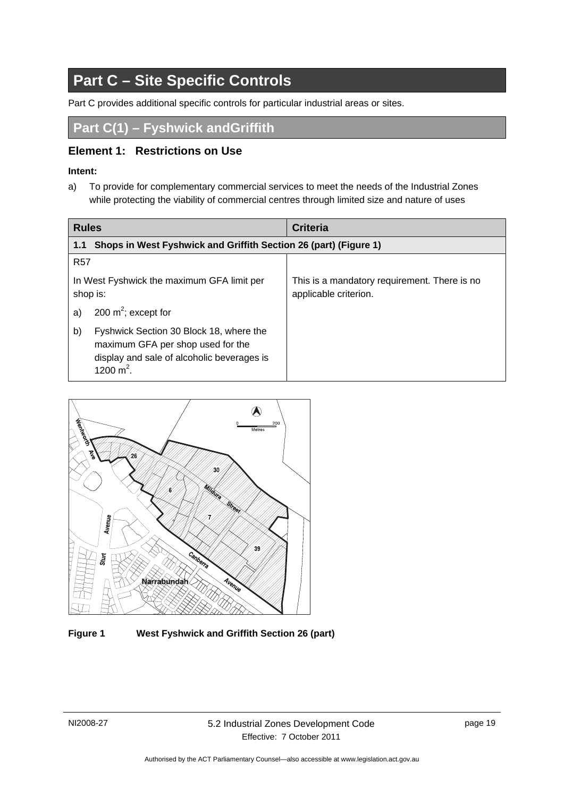# **Part C – Site Specific Controls**

<span id="page-22-0"></span>Part C provides additional specific controls for particular industrial areas or sites.

Part C(1) – Fyshwick and Griffith

### **Element 1: Restrictions on Use**

#### **Intent:**

<span id="page-22-1"></span>a) To provide for complementary commercial services to meet the needs of the Industrial Zones while protecting the viability of commercial centres through limited size and nature of uses

| <b>Rules</b>                                                                                                                                     | <b>Criteria</b>                                                       |
|--------------------------------------------------------------------------------------------------------------------------------------------------|-----------------------------------------------------------------------|
| Shops in West Fyshwick and Griffith Section 26 (part) (Figure 1)<br>1.1                                                                          |                                                                       |
| <b>R57</b>                                                                                                                                       |                                                                       |
| In West Fyshwick the maximum GFA limit per<br>shop is:                                                                                           | This is a mandatory requirement. There is no<br>applicable criterion. |
| 200 $m^2$ ; except for<br>a)                                                                                                                     |                                                                       |
| b)<br>Fyshwick Section 30 Block 18, where the<br>maximum GFA per shop used for the<br>display and sale of alcoholic beverages is<br>1200 $m^2$ . |                                                                       |

<span id="page-22-3"></span><span id="page-22-2"></span>

<span id="page-22-4"></span>**Figure 1 West Fyshwick and Griffith Section 26 (part)**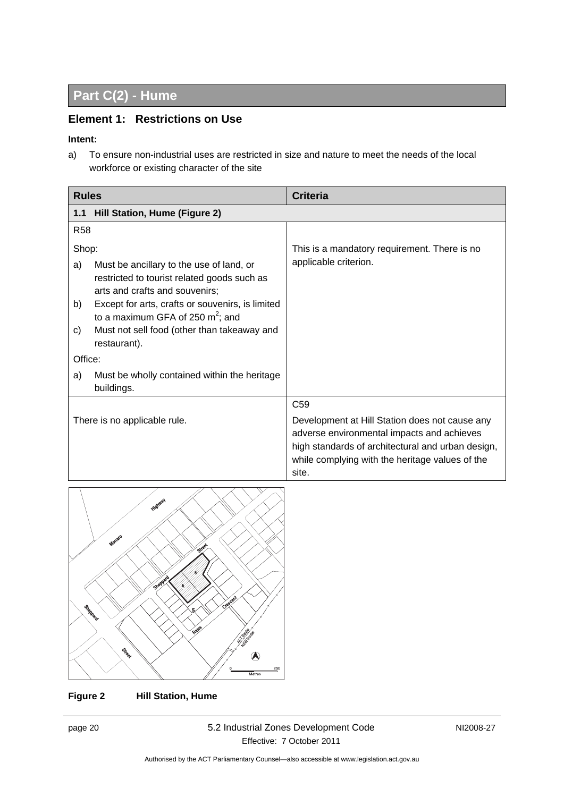# **Part C(2) - Hume**

### **Element 1: Restrictions on Use**

#### **Intent:**

a) To ensure non-industrial uses are restricted in size and nature to meet the needs of the local workforce or existing character of the site

| <b>Rules</b> |                                                                                                                           | <b>Criteria</b>                                                                                                                                                                                               |
|--------------|---------------------------------------------------------------------------------------------------------------------------|---------------------------------------------------------------------------------------------------------------------------------------------------------------------------------------------------------------|
| 1.1          | Hill Station, Hume (Figure 2)                                                                                             |                                                                                                                                                                                                               |
| <b>R58</b>   |                                                                                                                           |                                                                                                                                                                                                               |
| Shop:        |                                                                                                                           | This is a mandatory requirement. There is no                                                                                                                                                                  |
| a)           | Must be ancillary to the use of land, or<br>restricted to tourist related goods such as<br>arts and crafts and souvenirs; | applicable criterion.                                                                                                                                                                                         |
| b)           | Except for arts, crafts or souvenirs, is limited<br>to a maximum GFA of 250 $m^2$ ; and                                   |                                                                                                                                                                                                               |
| C)           | Must not sell food (other than takeaway and<br>restaurant).                                                               |                                                                                                                                                                                                               |
| Office:      |                                                                                                                           |                                                                                                                                                                                                               |
| a)           | Must be wholly contained within the heritage<br>buildings.                                                                |                                                                                                                                                                                                               |
|              |                                                                                                                           | C <sub>59</sub>                                                                                                                                                                                               |
|              | There is no applicable rule.                                                                                              | Development at Hill Station does not cause any<br>adverse environmental impacts and achieves<br>high standards of architectural and urban design,<br>while complying with the heritage values of the<br>site. |



**Figure 2 Hill Station, Hume**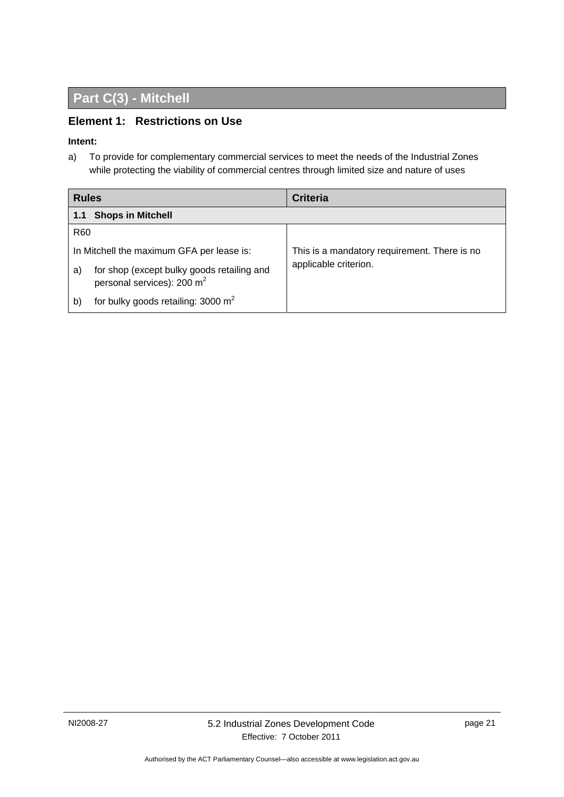# **Part C(3) - Mitchell**

### <span id="page-24-0"></span>**Element 1: Restrictions on Use**

#### **Intent:**

a) To provide for complementary commercial services to meet the needs of the Industrial Zones while protecting the viability of commercial centres through limited size and nature of uses

<span id="page-24-1"></span>

| <b>Rules</b>    |                                                                                      | <b>Criteria</b>                              |  |
|-----------------|--------------------------------------------------------------------------------------|----------------------------------------------|--|
| 1.1             | <b>Shops in Mitchell</b>                                                             |                                              |  |
| R <sub>60</sub> |                                                                                      |                                              |  |
|                 | In Mitchell the maximum GFA per lease is:                                            | This is a mandatory requirement. There is no |  |
| a)              | for shop (except bulky goods retailing and<br>personal services): 200 m <sup>2</sup> | applicable criterion.                        |  |
| b)              | for bulky goods retailing: 3000 $m2$                                                 |                                              |  |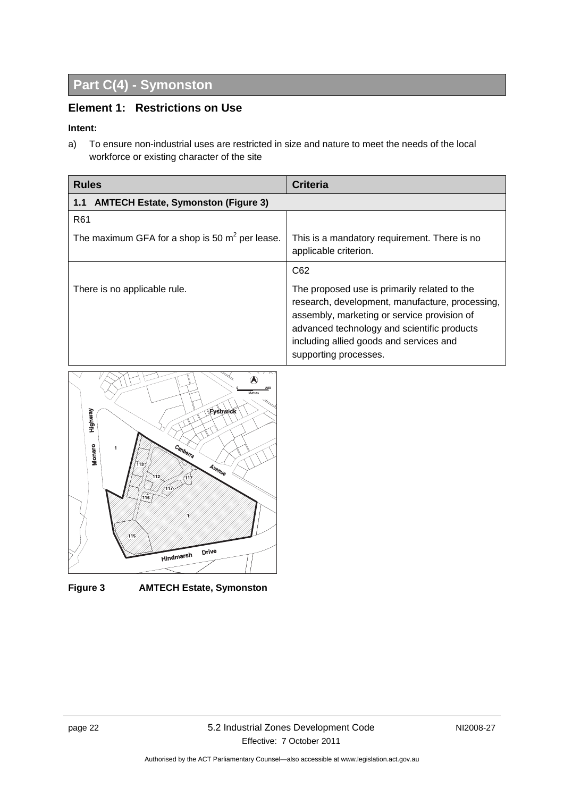# <span id="page-25-0"></span>**Part C(4) - Symonston**

### **Element 1: Restrictions on Use**

#### <span id="page-25-1"></span>**Intent:**

<span id="page-25-2"></span>a) To ensure non-industrial uses are restricted in size and nature to meet the needs of the local workforce or existing character of the site

<span id="page-25-3"></span>

| <b>Rules</b>                                      | <b>Criteria</b>                                                                                                                                                                                                                                                   |
|---------------------------------------------------|-------------------------------------------------------------------------------------------------------------------------------------------------------------------------------------------------------------------------------------------------------------------|
| <b>AMTECH Estate, Symonston (Figure 3)</b><br>1.1 |                                                                                                                                                                                                                                                                   |
| R <sub>61</sub>                                   |                                                                                                                                                                                                                                                                   |
| The maximum GFA for a shop is 50 $m^2$ per lease. | This is a mandatory requirement. There is no<br>applicable criterion.                                                                                                                                                                                             |
|                                                   | C62                                                                                                                                                                                                                                                               |
| There is no applicable rule.                      | The proposed use is primarily related to the<br>research, development, manufacture, processing,<br>assembly, marketing or service provision of<br>advanced technology and scientific products<br>including allied goods and services and<br>supporting processes. |



**Figure 3 AMTECH Estate, Symonston**